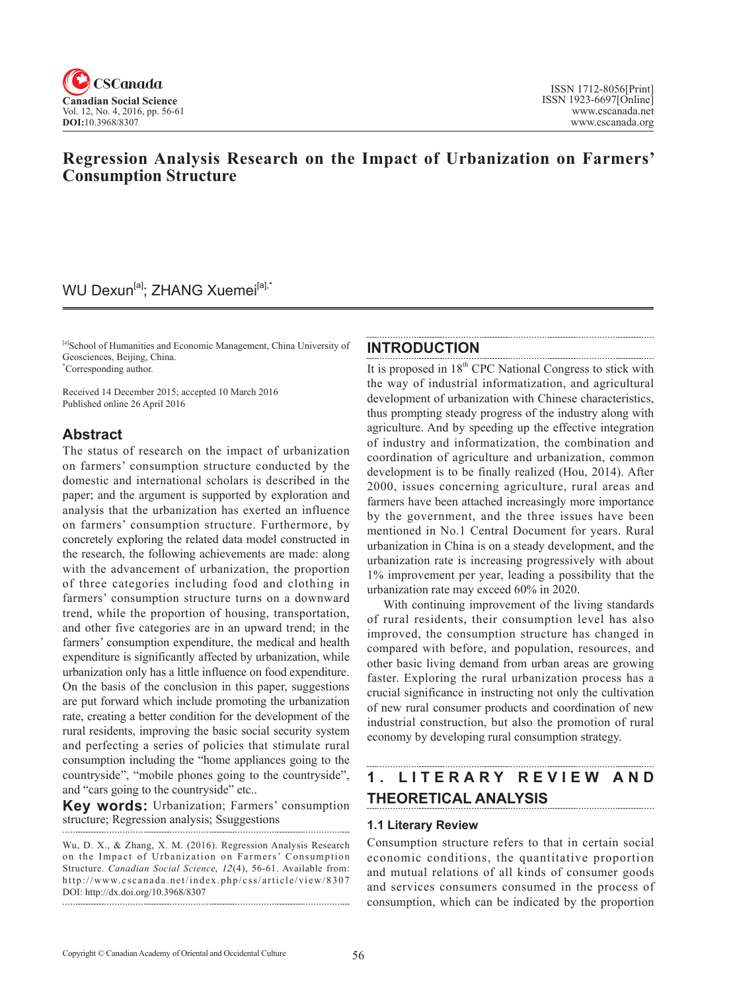

# **Regression Analysis Research on the Impact of Urbanization on Farmers' Consumption Structure**

## WU Dexun<sup>[a]</sup>; ZHANG Xuemei<sup>[a],\*</sup>

[a]School of Humanities and Economic Management, China University of Geosciences, Beijing, China. \* Corresponding author.

Received 14 December 2015; accepted 10 March 2016 Published online 26 April 2016

## **Abstract**

The status of research on the impact of urbanization on farmers' consumption structure conducted by the domestic and international scholars is described in the paper; and the argument is supported by exploration and analysis that the urbanization has exerted an influence on farmers' consumption structure. Furthermore, by concretely exploring the related data model constructed in the research, the following achievements are made: along with the advancement of urbanization, the proportion of three categories including food and clothing in farmers' consumption structure turns on a downward trend, while the proportion of housing, transportation, and other five categories are in an upward trend; in the farmers' consumption expenditure, the medical and health expenditure is significantly affected by urbanization, while urbanization only has a little influence on food expenditure. On the basis of the conclusion in this paper, suggestions are put forward which include promoting the urbanization rate, creating a better condition for the development of the rural residents, improving the basic social security system and perfecting a series of policies that stimulate rural consumption including the "home appliances going to the countryside", "mobile phones going to the countryside", and "cars going to the countryside" etc..

**Key words:** Urbanization; Farmers' consumption structure; Regression analysis; Ssuggestions

Wu, D. X., & Zhang, X. M. (2016). Regression Analysis Research on the Impact of Urbanization on Farmers' Consumption Structure. *Canadian Social Science*, <sup>12</sup>(4), 56-61. Available from: http://www.cscanada.net/index.php/css/article/view/8307 DOI: http://dx.doi.org/10.3968/8307 

## **INTRODUCTION**

It is proposed in  $18<sup>th</sup>$  CPC National Congress to stick with the way of industrial informatization, and agricultural development of urbanization with Chinese characteristics, thus prompting steady progress of the industry along with agriculture. And by speeding up the effective integration of industry and informatization, the combination and coordination of agriculture and urbanization, common development is to be finally realized (Hou, 2014). After 2000, issues concerning agriculture, rural areas and farmers have been attached increasingly more importance by the government, and the three issues have been mentioned in No.1 Central Document for years. Rural urbanization in China is on a steady development, and the urbanization rate is increasing progressively with about 1% improvement per year, leading a possibility that the urbanization rate may exceed 60% in 2020.

With continuing improvement of the living standards of rural residents, their consumption level has also improved, the consumption structure has changed in compared with before, and population, resources, and other basic living demand from urban areas are growing faster. Exploring the rural urbanization process has a crucial significance in instructing not only the cultivation of new rural consumer products and coordination of new industrial construction, but also the promotion of rural economy by developing rural consumption strategy.

#### **1 . L I T E R A R Y R E V I E W A N D THEORETICAL ANALYSIS**

#### **1.1 Literary Review**

Consumption structure refers to that in certain social economic conditions, the quantitative proportion and mutual relations of all kinds of consumer goods and services consumers consumed in the process of consumption, which can be indicated by the proportion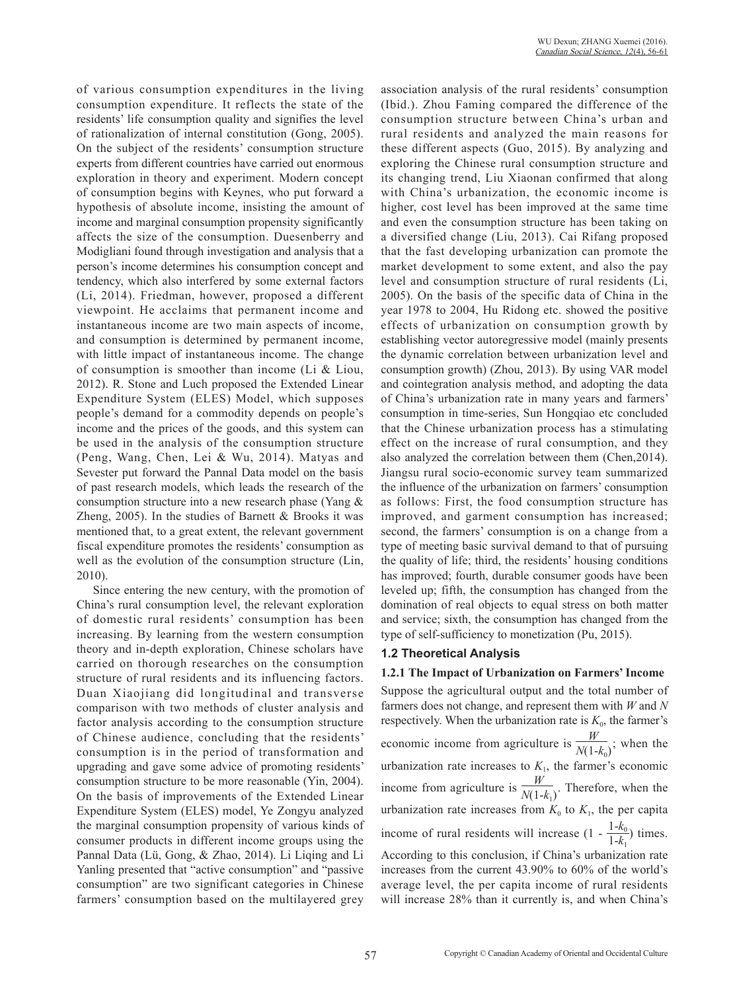of various consumption expenditures in the living consumption expenditure. It reflects the state of the residents' life consumption quality and signifies the level of rationalization of internal constitution (Gong, 2005). On the subject of the residents' consumption structure experts from different countries have carried out enormous exploration in theory and experiment. Modern concept of consumption begins with Keynes, who put forward a hypothesis of absolute income, insisting the amount of income and marginal consumption propensity significantly affects the size of the consumption. Duesenberry and Modigliani found through investigation and analysis that a person's income determines his consumption concept and tendency, which also interfered by some external factors (Li, 2014). Friedman, however, proposed a different viewpoint. He acclaims that permanent income and instantaneous income are two main aspects of income, and consumption is determined by permanent income, with little impact of instantaneous income. The change of consumption is smoother than income (Li & Liou, 2012). R. Stone and Luch proposed the Extended Linear Expenditure System (ELES) Model, which supposes people's demand for a commodity depends on people's income and the prices of the goods, and this system can be used in the analysis of the consumption structure (Peng, Wang, Chen, Lei & Wu, 2014). Matyas and Sevester put forward the Pannal Data model on the basis of past research models, which leads the research of the consumption structure into a new research phase (Yang & Zheng, 2005). In the studies of Barnett & Brooks it was mentioned that, to a great extent, the relevant government fiscal expenditure promotes the residents' consumption as well as the evolution of the consumption structure (Lin, 2010).

Since entering the new century, with the promotion of China's rural consumption level, the relevant exploration of domestic rural residents' consumption has been increasing. By learning from the western consumption theory and in-depth exploration, Chinese scholars have carried on thorough researches on the consumption structure of rural residents and its influencing factors. Duan Xiaojiang did longitudinal and transverse comparison with two methods of cluster analysis and factor analysis according to the consumption structure of Chinese audience, concluding that the residents' consumption is in the period of transformation and upgrading and gave some advice of promoting residents' consumption structure to be more reasonable (Yin, 2004). On the basis of improvements of the Extended Linear Expenditure System (ELES) model, Ye Zongyu analyzed the marginal consumption propensity of various kinds of consumer products in different income groups using the Pannal Data (Lü, Gong, & Zhao, 2014). Li Liqing and Li Yanling presented that "active consumption" and "passive consumption" are two significant categories in Chinese farmers' consumption based on the multilayered grey association analysis of the rural residents' consumption (Ibid.). Zhou Faming compared the difference of the consumption structure between China's urban and rural residents and analyzed the main reasons for these different aspects (Guo, 2015). By analyzing and exploring the Chinese rural consumption structure and its changing trend, Liu Xiaonan confirmed that along with China's urbanization, the economic income is higher, cost level has been improved at the same time and even the consumption structure has been taking on a diversified change (Liu, 2013). Cai Rifang proposed that the fast developing urbanization can promote the market development to some extent, and also the pay level and consumption structure of rural residents (Li, 2005). On the basis of the specific data of China in the year 1978 to 2004, Hu Ridong etc. showed the positive effects of urbanization on consumption growth by establishing vector autoregressive model (mainly presents the dynamic correlation between urbanization level and consumption growth) (Zhou, 2013). By using VAR model and cointegration analysis method, and adopting the data of China's urbanization rate in many years and farmers' consumption in time-series, Sun Hongqiao etc concluded that the Chinese urbanization process has a stimulating effect on the increase of rural consumption, and they also analyzed the correlation between them (Chen,2014). Jiangsu rural socio-economic survey team summarized the influence of the urbanization on farmers' consumption as follows: First, the food consumption structure has improved, and garment consumption has increased; second, the farmers' consumption is on a change from a type of meeting basic survival demand to that of pursuing the quality of life; third, the residents' housing conditions has improved; fourth, durable consumer goods have been leveled up; fifth, the consumption has changed from the domination of real objects to equal stress on both matter and service; sixth, the consumption has changed from the type of self-sufficiency to monetization (Pu, 2015).

#### **1.2 Theoretical Analysis**

#### **1.2.1 The Impact of Urbanization on Farmers' Income**

Suppose the agricultural output and the total number of farmers does not change, and represent them with *W* and *N* respectively. When the urbanization rate is  $K_0$ , the farmer's economic income from agriculture is  $\frac{W}{N(1-k_0)}$ ; when the urbanization rate increases to  $K<sub>1</sub>$ , the farmer's economic income from agriculture is  $\frac{W}{N(1-k_1)}$ . Therefore, when the urbanization rate increases from  $K_0$  to  $K_1$ , the per capita income of rural residents will increase  $(1 - \frac{1-k_0}{1-k_1})$  times. According to this conclusion, if China's urbanization rate increases from the current 43.90% to 60% of the world's average level, the per capita income of rural residents

will increase 28% than it currently is, and when China's

57 Copyright © Canadian Academy of Oriental and Occidental Culture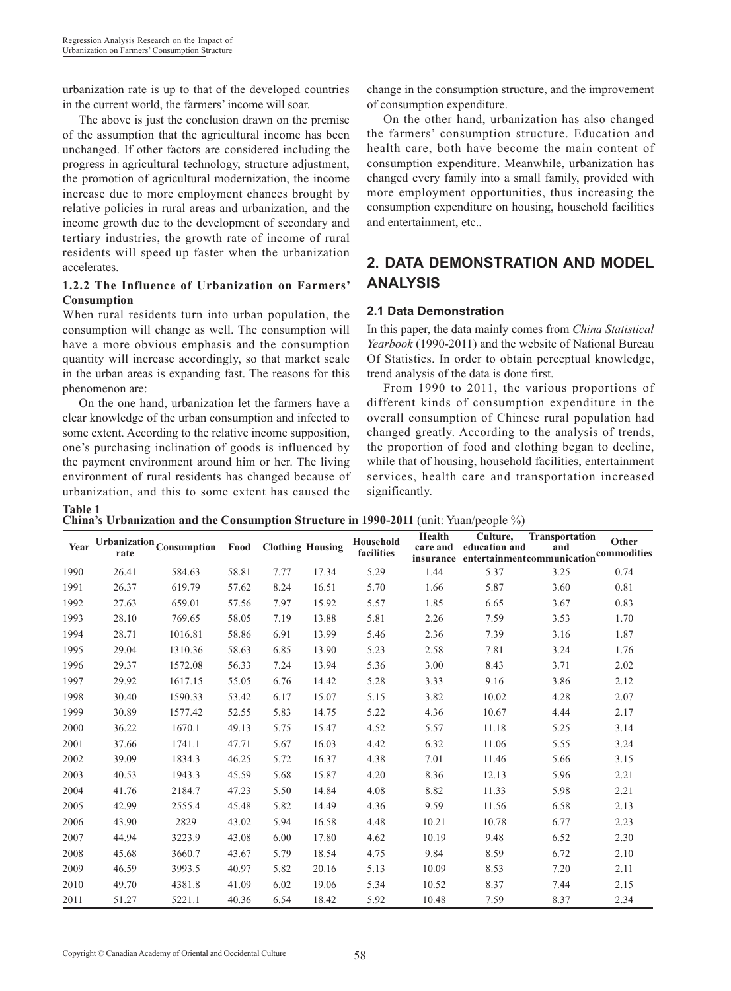urbanization rate is up to that of the developed countries in the current world, the farmers' income will soar.

The above is just the conclusion drawn on the premise of the assumption that the agricultural income has been unchanged. If other factors are considered including the progress in agricultural technology, structure adjustment, the promotion of agricultural modernization, the income increase due to more employment chances brought by relative policies in rural areas and urbanization, and the income growth due to the development of secondary and tertiary industries, the growth rate of income of rural residents will speed up faster when the urbanization accelerates.

#### **1.2.2 The Influence of Urbanization on Farmers' Consumption**

When rural residents turn into urban population, the consumption will change as well. The consumption will have a more obvious emphasis and the consumption quantity will increase accordingly, so that market scale in the urban areas is expanding fast. The reasons for this phenomenon are:

On the one hand, urbanization let the farmers have a clear knowledge of the urban consumption and infected to some extent. According to the relative income supposition, one's purchasing inclination of goods is influenced by the payment environment around him or her. The living environment of rural residents has changed because of urbanization, and this to some extent has caused the

**Table 1**

change in the consumption structure, and the improvement of consumption expenditure.

On the other hand, urbanization has also changed the farmers' consumption structure. Education and health care, both have become the main content of consumption expenditure. Meanwhile, urbanization has changed every family into a small family, provided with more employment opportunities, thus increasing the consumption expenditure on housing, household facilities and entertainment, etc..

#### **2. DATA DEMONSTRATION AND MODEL ANALYSIS**

## **2.1 Data Demonstration**

In this paper, the data mainly comes from *China Statistical Yearbook* (1990-2011) and the website of National Bureau Of Statistics. In order to obtain perceptual knowledge, trend analysis of the data is done first.

From 1990 to 2011, the various proportions of different kinds of consumption expenditure in the overall consumption of Chinese rural population had changed greatly. According to the analysis of trends, the proportion of food and clothing began to decline, while that of housing, household facilities, entertainment services, health care and transportation increased significantly.

**China's Urbanization and the Consumption Structure in 1990-2011** (unit: Yuan/people %)

| Year | rate  | $\label{prop:optimal}$ Urbanization $_{\mbox{Consumption}}$ | Food  | <b>Clothing Housing</b> |       | Household<br>facilities | Health<br>care and<br>insurance | Culture,<br>education and | Transportation<br>and<br>entertainmentcommunication | Other<br>commodities |
|------|-------|-------------------------------------------------------------|-------|-------------------------|-------|-------------------------|---------------------------------|---------------------------|-----------------------------------------------------|----------------------|
| 1990 | 26.41 | 584.63                                                      | 58.81 | 7.77                    | 17.34 | 5.29                    | 1.44                            | 5.37                      | 3.25                                                | 0.74                 |
| 1991 | 26.37 | 619.79                                                      | 57.62 | 8.24                    | 16.51 | 5.70                    | 1.66                            | 5.87                      | 3.60                                                | 0.81                 |
| 1992 | 27.63 | 659.01                                                      | 57.56 | 7.97                    | 15.92 | 5.57                    | 1.85                            | 6.65                      | 3.67                                                | 0.83                 |
| 1993 | 28.10 | 769.65                                                      | 58.05 | 7.19                    | 13.88 | 5.81                    | 2.26                            | 7.59                      | 3.53                                                | 1.70                 |
| 1994 | 28.71 | 1016.81                                                     | 58.86 | 6.91                    | 13.99 | 5.46                    | 2.36                            | 7.39                      | 3.16                                                | 1.87                 |
| 1995 | 29.04 | 1310.36                                                     | 58.63 | 6.85                    | 13.90 | 5.23                    | 2.58                            | 7.81                      | 3.24                                                | 1.76                 |
| 1996 | 29.37 | 1572.08                                                     | 56.33 | 7.24                    | 13.94 | 5.36                    | 3.00                            | 8.43                      | 3.71                                                | 2.02                 |
| 1997 | 29.92 | 1617.15                                                     | 55.05 | 6.76                    | 14.42 | 5.28                    | 3.33                            | 9.16                      | 3.86                                                | 2.12                 |
| 1998 | 30.40 | 1590.33                                                     | 53.42 | 6.17                    | 15.07 | 5.15                    | 3.82                            | 10.02                     | 4.28                                                | 2.07                 |
| 1999 | 30.89 | 1577.42                                                     | 52.55 | 5.83                    | 14.75 | 5.22                    | 4.36                            | 10.67                     | 4.44                                                | 2.17                 |
| 2000 | 36.22 | 1670.1                                                      | 49.13 | 5.75                    | 15.47 | 4.52                    | 5.57                            | 11.18                     | 5.25                                                | 3.14                 |
| 2001 | 37.66 | 1741.1                                                      | 47.71 | 5.67                    | 16.03 | 4.42                    | 6.32                            | 11.06                     | 5.55                                                | 3.24                 |
| 2002 | 39.09 | 1834.3                                                      | 46.25 | 5.72                    | 16.37 | 4.38                    | 7.01                            | 11.46                     | 5.66                                                | 3.15                 |
| 2003 | 40.53 | 1943.3                                                      | 45.59 | 5.68                    | 15.87 | 4.20                    | 8.36                            | 12.13                     | 5.96                                                | 2.21                 |
| 2004 | 41.76 | 2184.7                                                      | 47.23 | 5.50                    | 14.84 | 4.08                    | 8.82                            | 11.33                     | 5.98                                                | 2.21                 |
| 2005 | 42.99 | 2555.4                                                      | 45.48 | 5.82                    | 14.49 | 4.36                    | 9.59                            | 11.56                     | 6.58                                                | 2.13                 |
| 2006 | 43.90 | 2829                                                        | 43.02 | 5.94                    | 16.58 | 4.48                    | 10.21                           | 10.78                     | 6.77                                                | 2.23                 |
| 2007 | 44.94 | 3223.9                                                      | 43.08 | 6.00                    | 17.80 | 4.62                    | 10.19                           | 9.48                      | 6.52                                                | 2.30                 |
| 2008 | 45.68 | 3660.7                                                      | 43.67 | 5.79                    | 18.54 | 4.75                    | 9.84                            | 8.59                      | 6.72                                                | 2.10                 |
| 2009 | 46.59 | 3993.5                                                      | 40.97 | 5.82                    | 20.16 | 5.13                    | 10.09                           | 8.53                      | 7.20                                                | 2.11                 |
| 2010 | 49.70 | 4381.8                                                      | 41.09 | 6.02                    | 19.06 | 5.34                    | 10.52                           | 8.37                      | 7.44                                                | 2.15                 |
| 2011 | 51.27 | 5221.1                                                      | 40.36 | 6.54                    | 18.42 | 5.92                    | 10.48                           | 7.59                      | 8.37                                                | 2.34                 |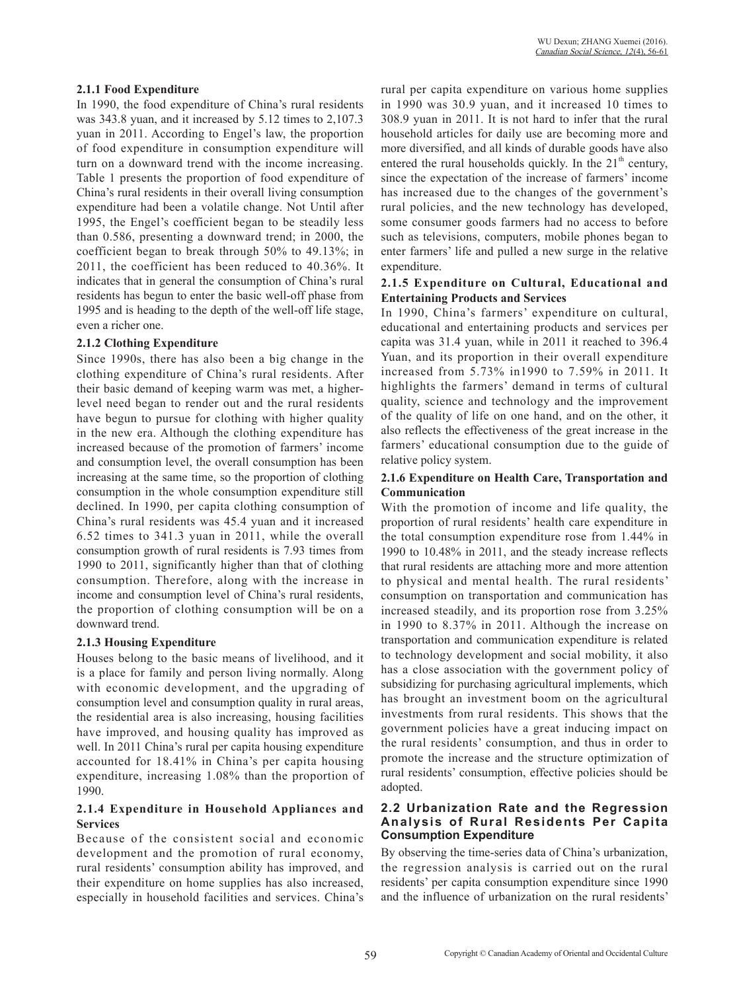#### **2.1.1 Food Expenditure**

In 1990, the food expenditure of China's rural residents was 343.8 yuan, and it increased by 5.12 times to 2,107.3 yuan in 2011. According to Engel's law, the proportion of food expenditure in consumption expenditure will turn on a downward trend with the income increasing. Table 1 presents the proportion of food expenditure of China's rural residents in their overall living consumption expenditure had been a volatile change. Not Until after 1995, the Engel's coefficient began to be steadily less than 0.586, presenting a downward trend; in 2000, the coefficient began to break through 50% to 49.13%; in 2011, the coefficient has been reduced to 40.36%. It indicates that in general the consumption of China's rural residents has begun to enter the basic well-off phase from 1995 and is heading to the depth of the well-off life stage, even a richer one.

#### **2.1.2 Clothing Expenditure**

Since 1990s, there has also been a big change in the clothing expenditure of China's rural residents. After their basic demand of keeping warm was met, a higherlevel need began to render out and the rural residents have begun to pursue for clothing with higher quality in the new era. Although the clothing expenditure has increased because of the promotion of farmers' income and consumption level, the overall consumption has been increasing at the same time, so the proportion of clothing consumption in the whole consumption expenditure still declined. In 1990, per capita clothing consumption of China's rural residents was 45.4 yuan and it increased 6.52 times to 341.3 yuan in 2011, while the overall consumption growth of rural residents is 7.93 times from 1990 to 2011, significantly higher than that of clothing consumption. Therefore, along with the increase in income and consumption level of China's rural residents, the proportion of clothing consumption will be on a downward trend.

#### **2.1.3 Housing Expenditure**

Houses belong to the basic means of livelihood, and it is a place for family and person living normally. Along with economic development, and the upgrading of consumption level and consumption quality in rural areas, the residential area is also increasing, housing facilities have improved, and housing quality has improved as well. In 2011 China's rural per capita housing expenditure accounted for 18.41% in China's per capita housing expenditure, increasing 1.08% than the proportion of 1990.

#### **2.1.4 Expenditure in Household Appliances and Services**

Because of the consistent social and economic development and the promotion of rural economy, rural residents' consumption ability has improved, and their expenditure on home supplies has also increased, especially in household facilities and services. China's rural per capita expenditure on various home supplies in 1990 was 30.9 yuan, and it increased 10 times to 308.9 yuan in 2011. It is not hard to infer that the rural household articles for daily use are becoming more and more diversified, and all kinds of durable goods have also entered the rural households quickly. In the  $21<sup>th</sup>$  century, since the expectation of the increase of farmers' income has increased due to the changes of the government's rural policies, and the new technology has developed, some consumer goods farmers had no access to before such as televisions, computers, mobile phones began to enter farmers' life and pulled a new surge in the relative expenditure.

#### **2.1.5 Expenditure on Cultural, Educational and Entertaining Products and Services**

In 1990, China's farmers' expenditure on cultural, educational and entertaining products and services per capita was 31.4 yuan, while in 2011 it reached to 396.4 Yuan, and its proportion in their overall expenditure increased from 5.73% in1990 to 7.59% in 2011. It highlights the farmers' demand in terms of cultural quality, science and technology and the improvement of the quality of life on one hand, and on the other, it also reflects the effectiveness of the great increase in the farmers' educational consumption due to the guide of relative policy system.

#### **2.1.6 Expenditure on Health Care, Transportation and Communication**

With the promotion of income and life quality, the proportion of rural residents' health care expenditure in the total consumption expenditure rose from 1.44% in 1990 to 10.48% in 2011, and the steady increase reflects that rural residents are attaching more and more attention to physical and mental health. The rural residents' consumption on transportation and communication has increased steadily, and its proportion rose from 3.25% in 1990 to 8.37% in 2011. Although the increase on transportation and communication expenditure is related to technology development and social mobility, it also has a close association with the government policy of subsidizing for purchasing agricultural implements, which has brought an investment boom on the agricultural investments from rural residents. This shows that the government policies have a great inducing impact on the rural residents' consumption, and thus in order to promote the increase and the structure optimization of rural residents' consumption, effective policies should be adopted.

#### **2.2 Urbanization Rate and the Regression Analysis of Rural Residents Per Capita Consumption Expenditure**

By observing the time-series data of China's urbanization, the regression analysis is carried out on the rural residents' per capita consumption expenditure since 1990 and the influence of urbanization on the rural residents'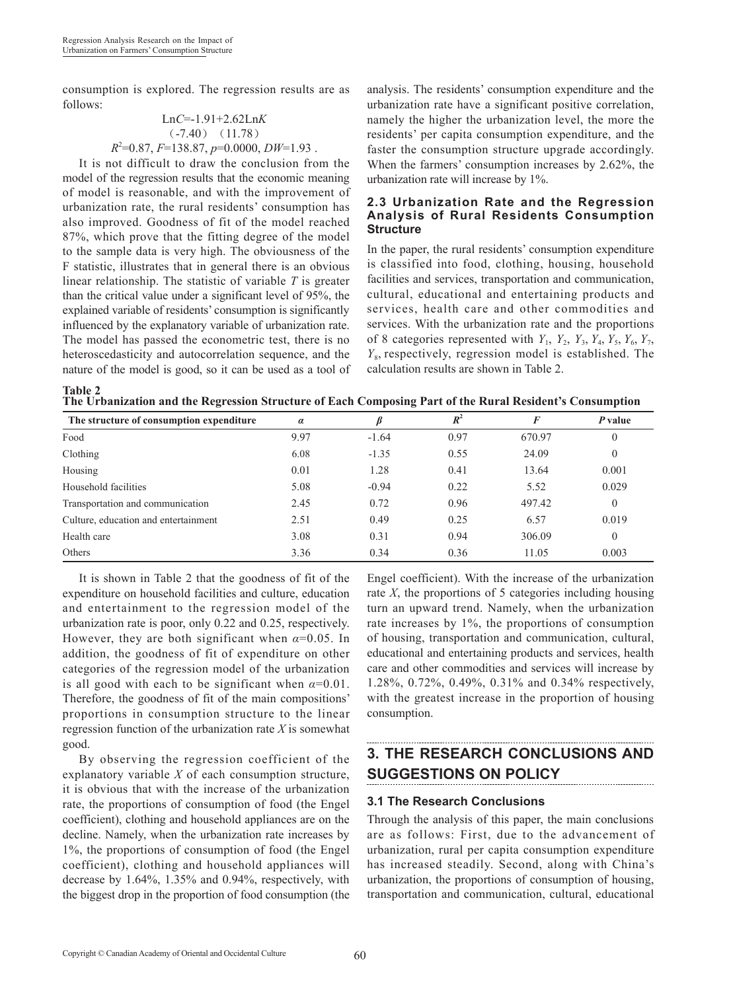consumption is explored. The regression results are as follows:

$$
LnC=-1.91+2.62LnK
$$
  
(-7.40) (11.78)  
 $R^2=0.87$ ,  $F=138.87$ ,  $p=0.0000$ ,  $DW=1.93$ .

It is not difficult to draw the conclusion from the model of the regression results that the economic meaning of model is reasonable, and with the improvement of urbanization rate, the rural residents' consumption has also improved. Goodness of fit of the model reached 87%, which prove that the fitting degree of the model to the sample data is very high. The obviousness of the F statistic, illustrates that in general there is an obvious linear relationship. The statistic of variable *T* is greater than the critical value under a significant level of 95%, the explained variable of residents' consumption is significantly influenced by the explanatory variable of urbanization rate. The model has passed the econometric test, there is no heteroscedasticity and autocorrelation sequence, and the nature of the model is good, so it can be used as a tool of analysis. The residents' consumption expenditure and the urbanization rate have a significant positive correlation, namely the higher the urbanization level, the more the residents' per capita consumption expenditure, and the faster the consumption structure upgrade accordingly. When the farmers' consumption increases by 2.62%, the urbanization rate will increase by 1%.

#### **2.3 Urbanization Rate and the Regression Analysis of Rural Residents Consumption Structure**

In the paper, the rural residents' consumption expenditure is classified into food, clothing, housing, household facilities and services, transportation and communication, cultural, educational and entertaining products and services, health care and other commodities and services. With the urbanization rate and the proportions of 8 categories represented with  $Y_1$ ,  $Y_2$ ,  $Y_3$ ,  $Y_4$ ,  $Y_5$ ,  $Y_6$ ,  $Y_7$ , *Y*8, respectively, regression model is established. The calculation results are shown in Table 2.

| <b>Table 2</b> |                                                                                                          |  |  |
|----------------|----------------------------------------------------------------------------------------------------------|--|--|
|                | The Urbanization and the Regression Structure of Each Composing Part of the Rural Resident's Consumption |  |  |

| The structure of consumption expenditure | $\alpha$ |         | $R^2$ | F      | P value  |
|------------------------------------------|----------|---------|-------|--------|----------|
| Food                                     | 9.97     | $-1.64$ | 0.97  | 670.97 | $\theta$ |
| Clothing                                 | 6.08     | $-1.35$ | 0.55  | 24.09  | $\theta$ |
| Housing                                  | 0.01     | 1.28    | 0.41  | 13.64  | 0.001    |
| Household facilities                     | 5.08     | $-0.94$ | 0.22  | 5.52   | 0.029    |
| Transportation and communication         | 2.45     | 0.72    | 0.96  | 497.42 | $\theta$ |
| Culture, education and entertainment     | 2.51     | 0.49    | 0.25  | 6.57   | 0.019    |
| Health care                              | 3.08     | 0.31    | 0.94  | 306.09 | $\theta$ |
| Others                                   | 3.36     | 0.34    | 0.36  | 11.05  | 0.003    |

It is shown in Table 2 that the goodness of fit of the expenditure on household facilities and culture, education and entertainment to the regression model of the urbanization rate is poor, only 0.22 and 0.25, respectively. However, they are both significant when  $\alpha$ =0.05. In addition, the goodness of fit of expenditure on other categories of the regression model of the urbanization is all good with each to be significant when  $\alpha=0.01$ . Therefore, the goodness of fit of the main compositions' proportions in consumption structure to the linear regression function of the urbanization rate *X* is somewhat good.

By observing the regression coefficient of the explanatory variable *X* of each consumption structure, it is obvious that with the increase of the urbanization rate, the proportions of consumption of food (the Engel coefficient), clothing and household appliances are on the decline. Namely, when the urbanization rate increases by 1%, the proportions of consumption of food (the Engel coefficient), clothing and household appliances will decrease by 1.64%, 1.35% and 0.94%, respectively, with the biggest drop in the proportion of food consumption (the

Engel coefficient). With the increase of the urbanization rate *X*, the proportions of 5 categories including housing turn an upward trend. Namely, when the urbanization rate increases by 1%, the proportions of consumption of housing, transportation and communication, cultural, educational and entertaining products and services, health care and other commodities and services will increase by 1.28%, 0.72%, 0.49%, 0.31% and 0.34% respectively, with the greatest increase in the proportion of housing consumption.

# **3. THE RESEARCH CONCLUSIONS AND SUGGESTIONS ON POLICY**

#### **3.1 The Research Conclusions**

Through the analysis of this paper, the main conclusions are as follows: First, due to the advancement of urbanization, rural per capita consumption expenditure has increased steadily. Second, along with China's urbanization, the proportions of consumption of housing, transportation and communication, cultural, educational